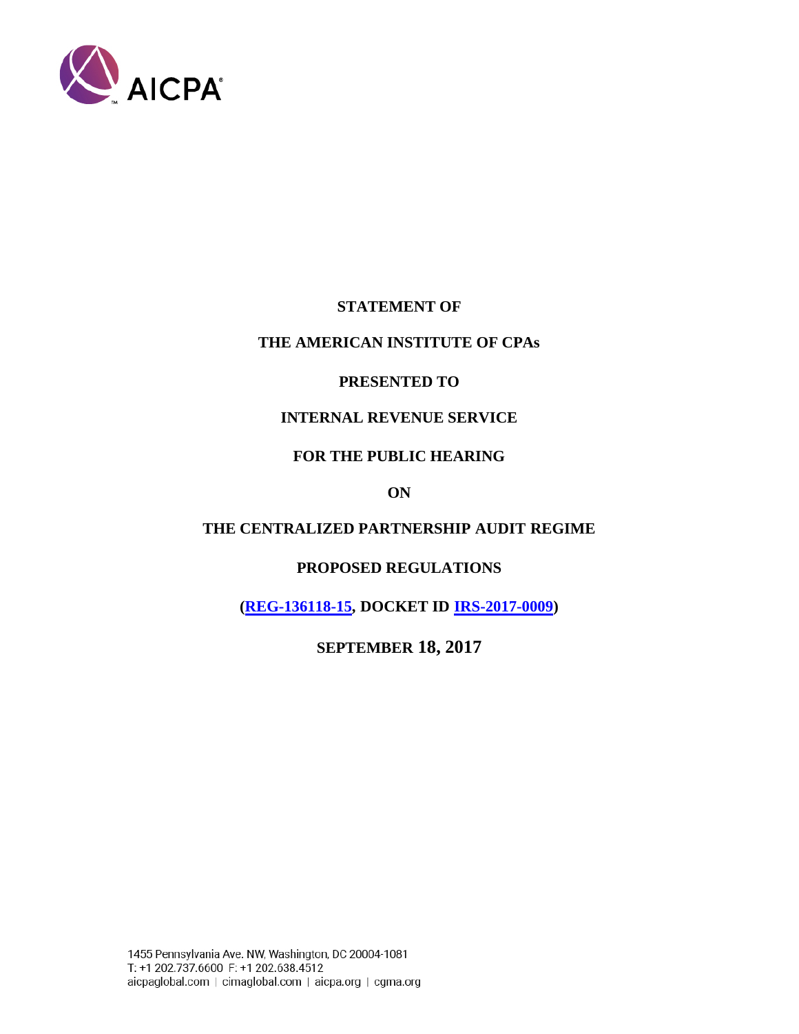

**STATEMENT OF** 

## **THE AMERICAN INSTITUTE OF CPAs**

## **PRESENTED TO**

## **INTERNAL REVENUE SERVICE**

## **FOR THE PUBLIC HEARING**

## **ON**

# **THE CENTRALIZED PARTNERSHIP AUDIT REGIME**

# **PROPOSED REGULATIONS**

**[\(REG-136118-15,](https://www.federalregister.gov/documents/2017/06/14/2017-12308/centralized-partnership-audit-regime) DOCKET ID [IRS-2017-0009\)](https://www.regulations.gov/document?D=IRS-2017-0009-0001)**

**SEPTEMBER 18, 2017**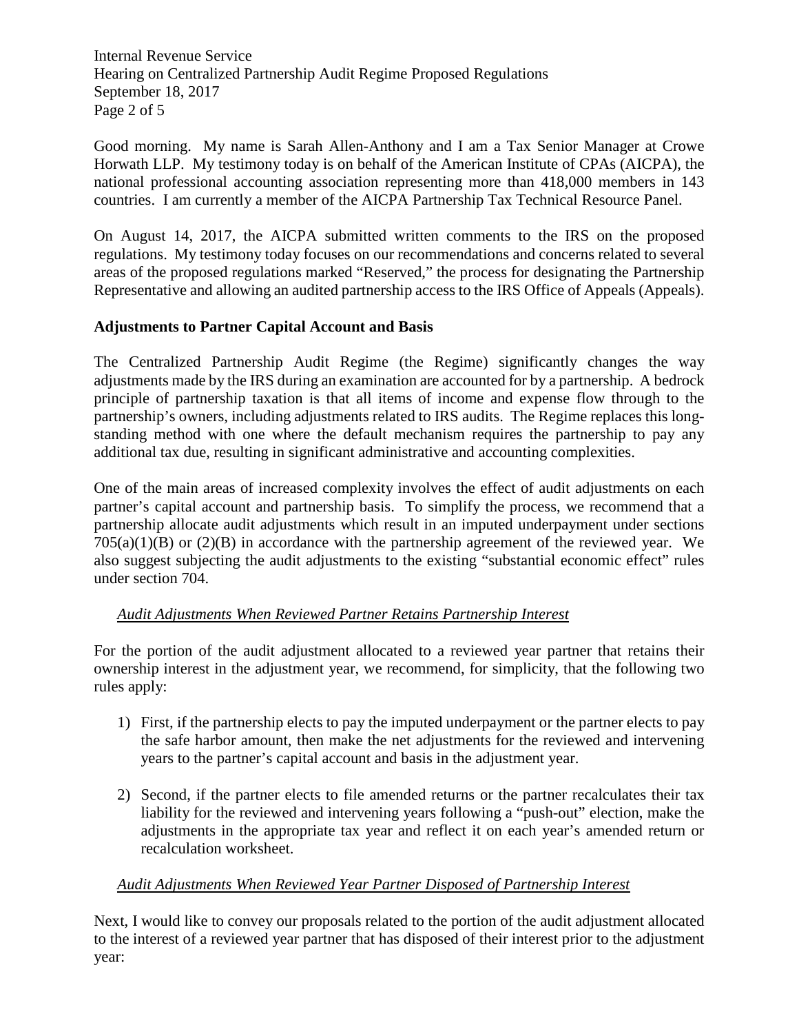Internal Revenue Service Hearing on Centralized Partnership Audit Regime Proposed Regulations September 18, 2017 Page 2 of 5

Good morning. My name is Sarah Allen-Anthony and I am a Tax Senior Manager at Crowe Horwath LLP. My testimony today is on behalf of the American Institute of CPAs (AICPA), the national professional accounting association representing more than 418,000 members in 143 countries. I am currently a member of the AICPA Partnership Tax Technical Resource Panel.

On August 14, 2017, the AICPA submitted written comments to the IRS on the proposed regulations. My testimony today focuses on our recommendations and concerns related to several areas of the proposed regulations marked "Reserved," the process for designating the Partnership Representative and allowing an audited partnership access to the IRS Office of Appeals (Appeals).

## **Adjustments to Partner Capital Account and Basis**

The Centralized Partnership Audit Regime (the Regime) significantly changes the way adjustments made by the IRS during an examination are accounted for by a partnership. A bedrock principle of partnership taxation is that all items of income and expense flow through to the partnership's owners, including adjustments related to IRS audits. The Regime replaces this longstanding method with one where the default mechanism requires the partnership to pay any additional tax due, resulting in significant administrative and accounting complexities.

One of the main areas of increased complexity involves the effect of audit adjustments on each partner's capital account and partnership basis. To simplify the process, we recommend that a partnership allocate audit adjustments which result in an imputed underpayment under sections  $705(a)(1)(B)$  or  $(2)(B)$  in accordance with the partnership agreement of the reviewed year. We also suggest subjecting the audit adjustments to the existing "substantial economic effect" rules under section 704.

## *Audit Adjustments When Reviewed Partner Retains Partnership Interest*

For the portion of the audit adjustment allocated to a reviewed year partner that retains their ownership interest in the adjustment year, we recommend, for simplicity, that the following two rules apply:

- 1) First, if the partnership elects to pay the imputed underpayment or the partner elects to pay the safe harbor amount, then make the net adjustments for the reviewed and intervening years to the partner's capital account and basis in the adjustment year.
- 2) Second, if the partner elects to file amended returns or the partner recalculates their tax liability for the reviewed and intervening years following a "push-out" election, make the adjustments in the appropriate tax year and reflect it on each year's amended return or recalculation worksheet.

## *Audit Adjustments When Reviewed Year Partner Disposed of Partnership Interest*

Next, I would like to convey our proposals related to the portion of the audit adjustment allocated to the interest of a reviewed year partner that has disposed of their interest prior to the adjustment year: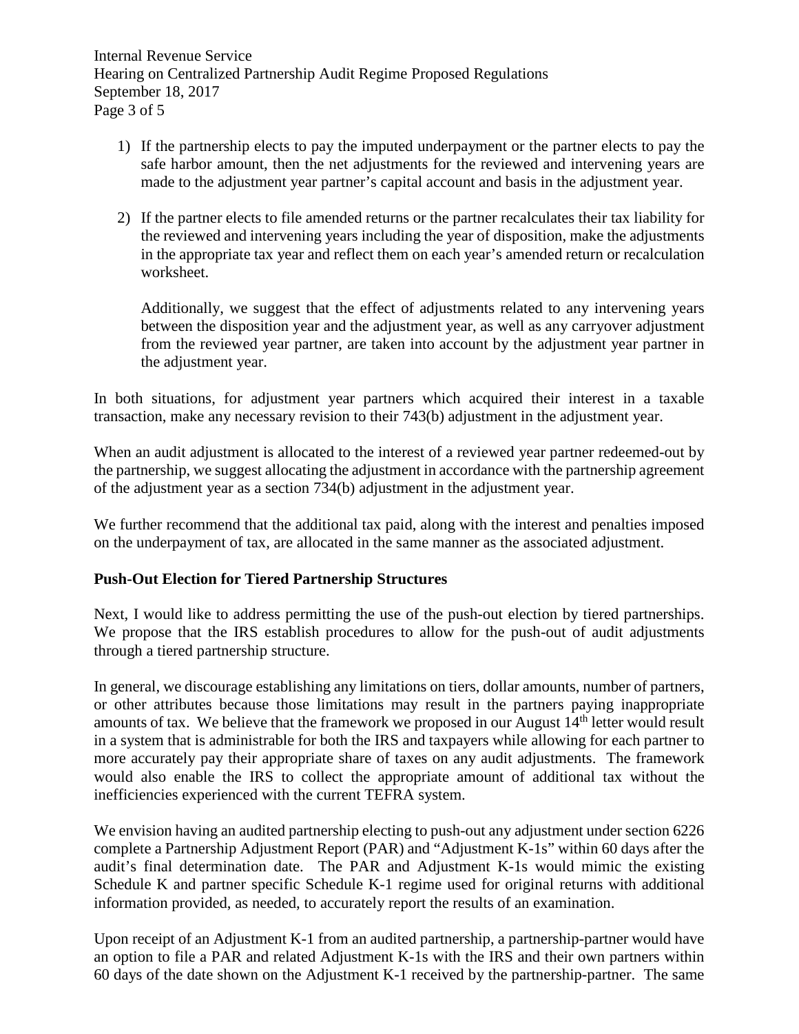Internal Revenue Service Hearing on Centralized Partnership Audit Regime Proposed Regulations September 18, 2017 Page 3 of 5

- 1) If the partnership elects to pay the imputed underpayment or the partner elects to pay the safe harbor amount, then the net adjustments for the reviewed and intervening years are made to the adjustment year partner's capital account and basis in the adjustment year.
- 2) If the partner elects to file amended returns or the partner recalculates their tax liability for the reviewed and intervening years including the year of disposition, make the adjustments in the appropriate tax year and reflect them on each year's amended return or recalculation worksheet.

Additionally, we suggest that the effect of adjustments related to any intervening years between the disposition year and the adjustment year, as well as any carryover adjustment from the reviewed year partner, are taken into account by the adjustment year partner in the adjustment year.

In both situations, for adjustment year partners which acquired their interest in a taxable transaction, make any necessary revision to their 743(b) adjustment in the adjustment year.

When an audit adjustment is allocated to the interest of a reviewed year partner redeemed-out by the partnership, we suggest allocating the adjustment in accordance with the partnership agreement of the adjustment year as a section 734(b) adjustment in the adjustment year.

We further recommend that the additional tax paid, along with the interest and penalties imposed on the underpayment of tax, are allocated in the same manner as the associated adjustment.

## **Push-Out Election for Tiered Partnership Structures**

Next, I would like to address permitting the use of the push-out election by tiered partnerships. We propose that the IRS establish procedures to allow for the push-out of audit adjustments through a tiered partnership structure.

In general, we discourage establishing any limitations on tiers, dollar amounts, number of partners, or other attributes because those limitations may result in the partners paying inappropriate amounts of tax. We believe that the framework we proposed in our August  $14<sup>th</sup>$  letter would result in a system that is administrable for both the IRS and taxpayers while allowing for each partner to more accurately pay their appropriate share of taxes on any audit adjustments. The framework would also enable the IRS to collect the appropriate amount of additional tax without the inefficiencies experienced with the current TEFRA system.

We envision having an audited partnership electing to push-out any adjustment under section 6226 complete a Partnership Adjustment Report (PAR) and "Adjustment K-1s" within 60 days after the audit's final determination date. The PAR and Adjustment K-1s would mimic the existing Schedule K and partner specific Schedule K-1 regime used for original returns with additional information provided, as needed, to accurately report the results of an examination.

Upon receipt of an Adjustment K-1 from an audited partnership, a partnership-partner would have an option to file a PAR and related Adjustment K-1s with the IRS and their own partners within 60 days of the date shown on the Adjustment K-1 received by the partnership-partner. The same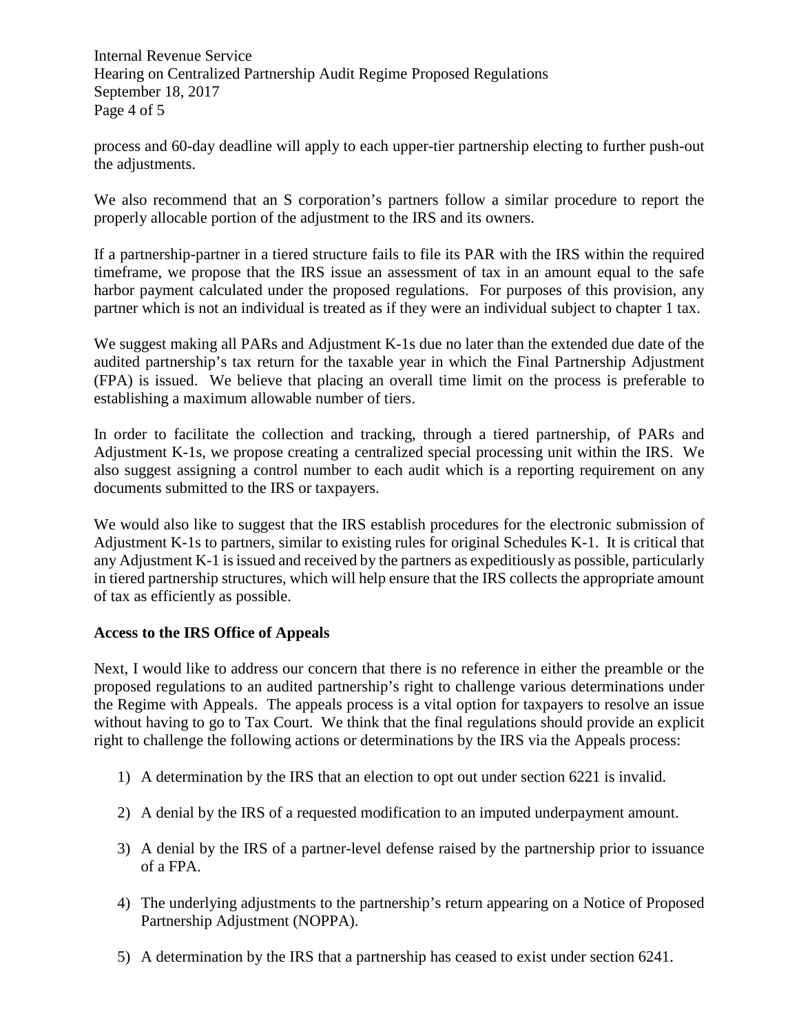Internal Revenue Service Hearing on Centralized Partnership Audit Regime Proposed Regulations September 18, 2017 Page 4 of 5

process and 60-day deadline will apply to each upper-tier partnership electing to further push-out the adjustments.

We also recommend that an S corporation's partners follow a similar procedure to report the properly allocable portion of the adjustment to the IRS and its owners.

If a partnership-partner in a tiered structure fails to file its PAR with the IRS within the required timeframe, we propose that the IRS issue an assessment of tax in an amount equal to the safe harbor payment calculated under the proposed regulations. For purposes of this provision, any partner which is not an individual is treated as if they were an individual subject to chapter 1 tax.

We suggest making all PARs and Adjustment K-1s due no later than the extended due date of the audited partnership's tax return for the taxable year in which the Final Partnership Adjustment (FPA) is issued. We believe that placing an overall time limit on the process is preferable to establishing a maximum allowable number of tiers.

In order to facilitate the collection and tracking, through a tiered partnership, of PARs and Adjustment K-1s, we propose creating a centralized special processing unit within the IRS. We also suggest assigning a control number to each audit which is a reporting requirement on any documents submitted to the IRS or taxpayers.

We would also like to suggest that the IRS establish procedures for the electronic submission of Adjustment K-1s to partners, similar to existing rules for original Schedules K-1. It is critical that any Adjustment K-1 is issued and received by the partners as expeditiously as possible, particularly in tiered partnership structures, which will help ensure that the IRS collects the appropriate amount of tax as efficiently as possible.

#### **Access to the IRS Office of Appeals**

Next, I would like to address our concern that there is no reference in either the preamble or the proposed regulations to an audited partnership's right to challenge various determinations under the Regime with Appeals. The appeals process is a vital option for taxpayers to resolve an issue without having to go to Tax Court. We think that the final regulations should provide an explicit right to challenge the following actions or determinations by the IRS via the Appeals process:

- 1) A determination by the IRS that an election to opt out under section 6221 is invalid.
- 2) A denial by the IRS of a requested modification to an imputed underpayment amount.
- 3) A denial by the IRS of a partner-level defense raised by the partnership prior to issuance of a FPA.
- 4) The underlying adjustments to the partnership's return appearing on a Notice of Proposed Partnership Adjustment (NOPPA).
- 5) A determination by the IRS that a partnership has ceased to exist under section 6241.